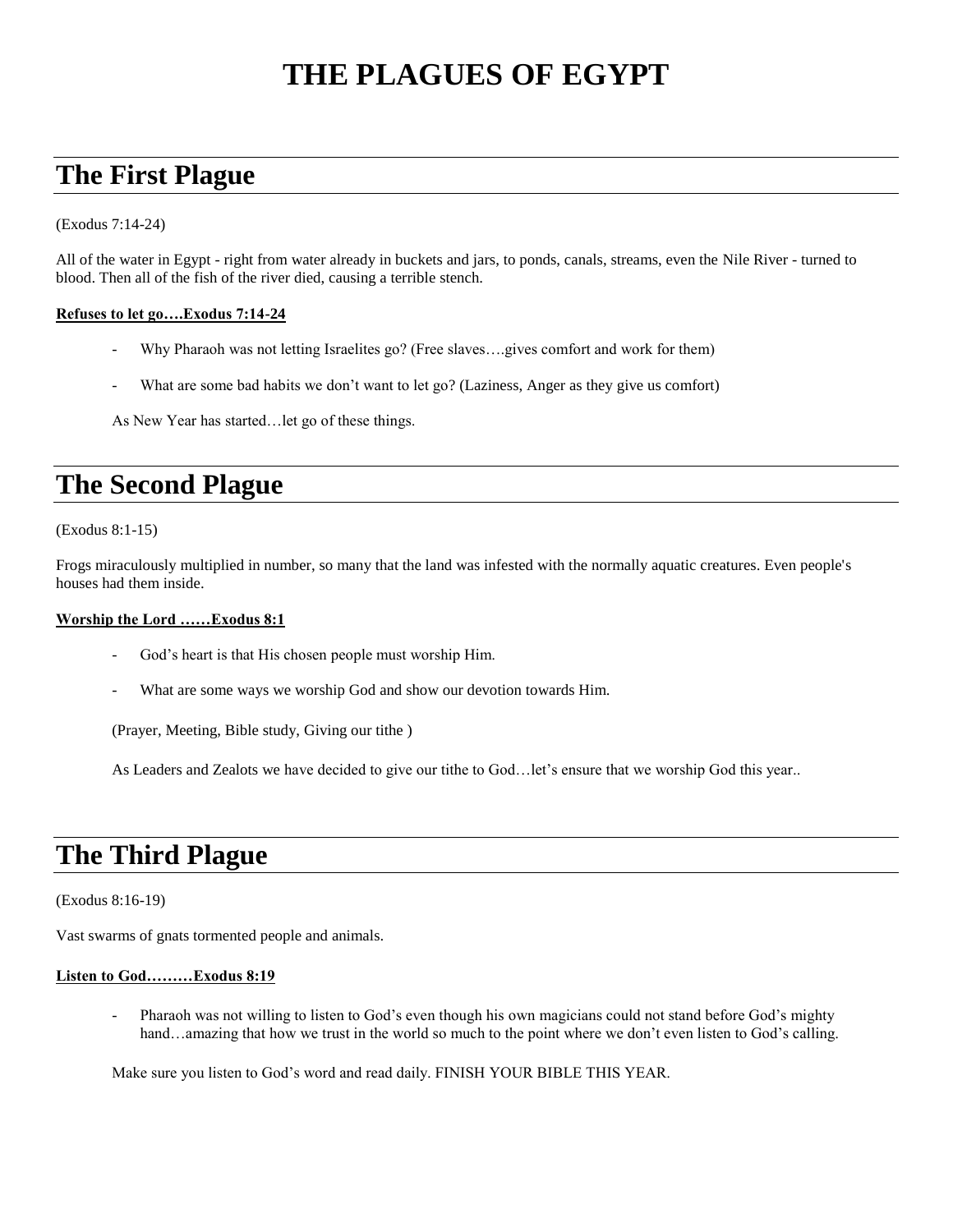# **THE PLAGUES OF EGYPT**

## **The First Plague**

(Exodus 7:14-24)

All of the water in Egypt - right from water already in buckets and jars, to ponds, canals, streams, even the Nile River - turned to blood. Then all of the fish of the river died, causing a terrible stench.

### **Refuses to let go….Exodus 7:14-24**

- Why Pharaoh was not letting Israelites go? (Free slaves....gives comfort and work for them)
- What are some bad habits we don't want to let go? (Laziness, Anger as they give us comfort)

As New Year has started…let go of these things.

## **The Second Plague**

(Exodus 8:1-15)

Frogs miraculously multiplied in number, so many that the land was infested with the normally aquatic creatures. Even people's houses had them inside.

### **Worship the Lord ……Exodus 8:1**

- God's heart is that His chosen people must worship Him.
- What are some ways we worship God and show our devotion towards Him.

(Prayer, Meeting, Bible study, Giving our tithe )

As Leaders and Zealots we have decided to give our tithe to God…let's ensure that we worship God this year..

## **The Third Plague**

#### (Exodus 8:16-19)

Vast swarms of gnats tormented people and animals.

### **Listen to God………Exodus 8:19**

Pharaoh was not willing to listen to God's even though his own magicians could not stand before God's mighty hand…amazing that how we trust in the world so much to the point where we don't even listen to God's calling.

Make sure you listen to God's word and read daily. FINISH YOUR BIBLE THIS YEAR.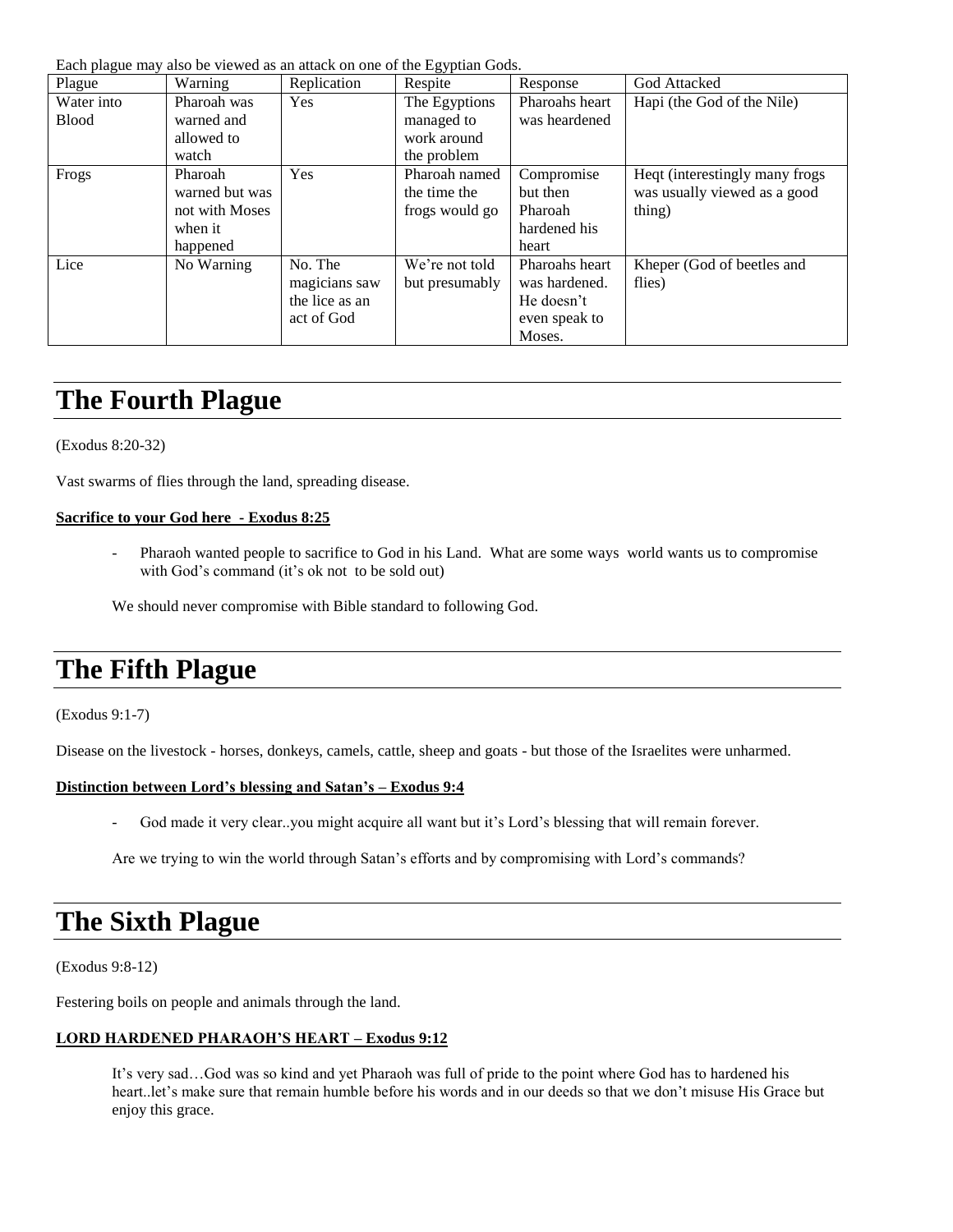Each plague may also be viewed as an attack on one of the Egyptian Gods.

| --- r---o---<br>Plague | Warning        | Replication    | -57 F ----<br>Respite | Response       | God Attacked                    |
|------------------------|----------------|----------------|-----------------------|----------------|---------------------------------|
| Water into             | Pharoah was    | <b>Yes</b>     | The Egyptions         | Pharoahs heart | Hapi (the God of the Nile)      |
| <b>Blood</b>           | warned and     |                | managed to            | was heardened  |                                 |
|                        | allowed to     |                | work around           |                |                                 |
|                        | watch          |                | the problem           |                |                                 |
| Frogs                  | Pharoah        | <b>Yes</b>     | Pharoah named         | Compromise     | Heqt (interestingly many frogs) |
|                        | warned but was |                | the time the          | but then       | was usually viewed as a good    |
|                        | not with Moses |                | frogs would go        | Pharoah        | thing)                          |
|                        | when it        |                |                       | hardened his   |                                 |
|                        | happened       |                |                       | heart          |                                 |
| Lice                   | No Warning     | No. The        | We're not told        | Pharoahs heart | Kheper (God of beetles and      |
|                        |                | magicians saw  | but presumably        | was hardened.  | flies)                          |
|                        |                | the lice as an |                       | He doesn't     |                                 |
|                        |                | act of God     |                       | even speak to  |                                 |
|                        |                |                |                       | Moses.         |                                 |

## **The Fourth Plague**

(Exodus 8:20-32)

Vast swarms of flies through the land, spreading disease.

### **Sacrifice to your God here - Exodus 8:25**

- Pharaoh wanted people to sacrifice to God in his Land. What are some ways world wants us to compromise with God's command (it's ok not to be sold out)

We should never compromise with Bible standard to following God.

## **The Fifth Plague**

(Exodus 9:1-7)

Disease on the livestock - horses, donkeys, camels, cattle, sheep and goats - but those of the Israelites were unharmed.

### **Distinction between Lord's blessing and Satan's – Exodus 9:4**

- God made it very clear..you might acquire all want but it's Lord's blessing that will remain forever.

Are we trying to win the world through Satan's efforts and by compromising with Lord's commands?

### **The Sixth Plague**

(Exodus 9:8-12)

Festering boils on people and animals through the land.

### **LORD HARDENED PHARAOH'S HEART – Exodus 9:12**

It's very sad…God was so kind and yet Pharaoh was full of pride to the point where God has to hardened his heart..let's make sure that remain humble before his words and in our deeds so that we don't misuse His Grace but enjoy this grace.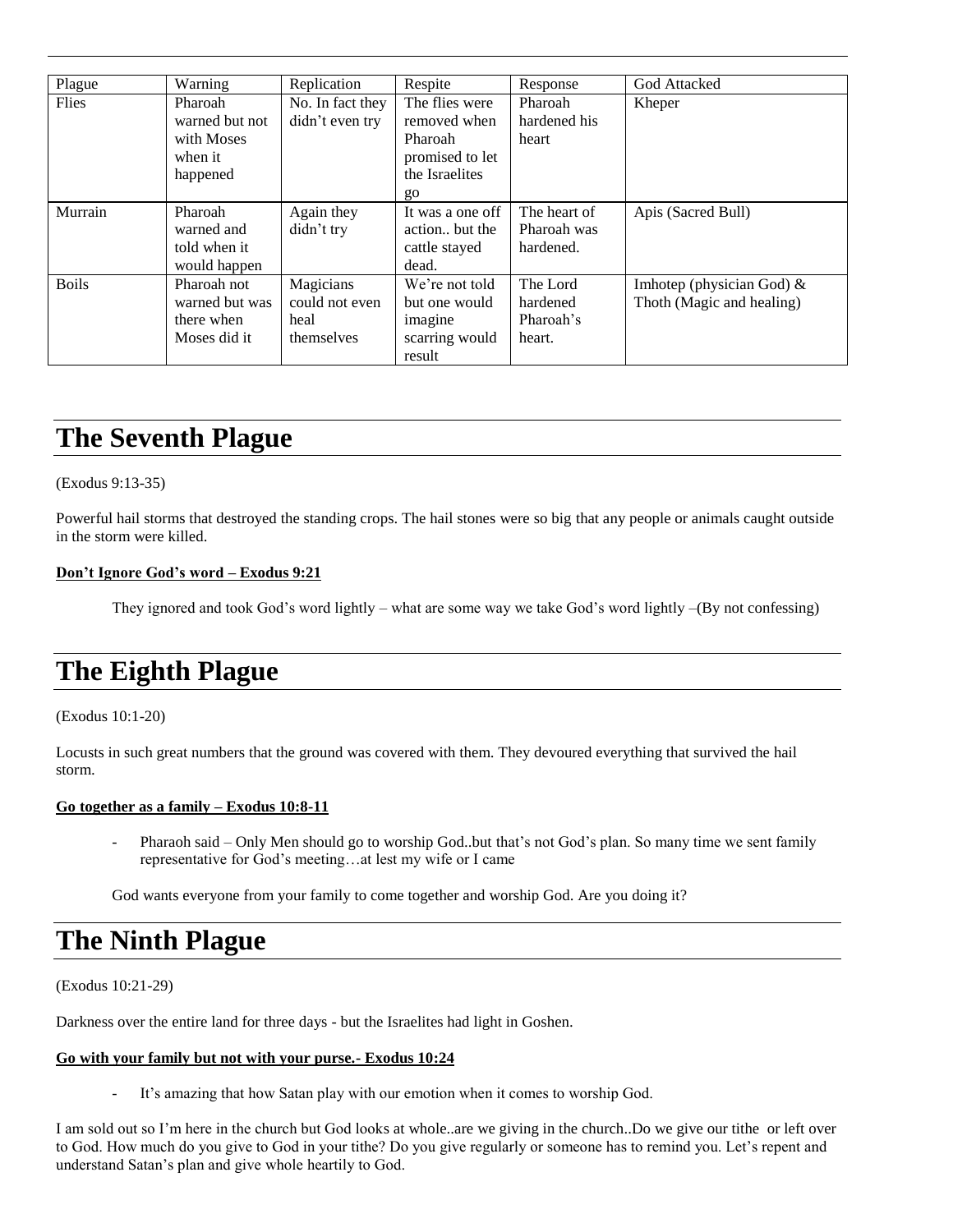| Plague       | Warning        | Replication      | Respite          | Response     | <b>God Attacked</b>       |
|--------------|----------------|------------------|------------------|--------------|---------------------------|
| Flies        | Pharoah        | No. In fact they | The flies were   | Pharoah      | Kheper                    |
|              | warned but not | didn't even try  | removed when     | hardened his |                           |
|              | with Moses     |                  | <b>Pharoah</b>   | heart        |                           |
|              | when it        |                  | promised to let  |              |                           |
|              | happened       |                  | the Israelites   |              |                           |
|              |                |                  | go               |              |                           |
| Murrain      | Pharoah        | Again they       | It was a one off | The heart of | Apis (Sacred Bull)        |
|              | warned and     | didn't try       | action but the   | Pharoah was  |                           |
|              | told when it   |                  | cattle stayed    | hardened.    |                           |
|              | would happen   |                  | dead.            |              |                           |
| <b>Boils</b> | Pharoah not    | Magicians        | We're not told   | The Lord     | Imhotep (physician God) & |
|              | warned but was | could not even   | but one would    | hardened     | Thoth (Magic and healing) |
|              | there when     | heal             | imagine          | Pharoah's    |                           |
|              | Moses did it   | themselves       | scarring would   | heart.       |                           |
|              |                |                  | result           |              |                           |

## **The Seventh Plague**

### (Exodus 9:13-35)

Powerful hail storms that destroyed the standing crops. The hail stones were so big that any people or animals caught outside in the storm were killed.

### **Don't Ignore God's word – Exodus 9:21**

They ignored and took God's word lightly – what are some way we take God's word lightly –(By not confessing)

## **The Eighth Plague**

#### (Exodus 10:1-20)

Locusts in such great numbers that the ground was covered with them. They devoured everything that survived the hail storm.

#### **Go together as a family – Exodus 10:8-11**

Pharaoh said – Only Men should go to worship God..but that's not God's plan. So many time we sent family representative for God's meeting…at lest my wife or I came

God wants everyone from your family to come together and worship God. Are you doing it?

### **The Ninth Plague**

(Exodus 10:21-29)

Darkness over the entire land for three days - but the Israelites had light in Goshen.

### **Go with your family but not with your purse.- Exodus 10:24**

- It's amazing that how Satan play with our emotion when it comes to worship God.

I am sold out so I'm here in the church but God looks at whole..are we giving in the church..Do we give our tithe or left over to God. How much do you give to God in your tithe? Do you give regularly or someone has to remind you. Let's repent and understand Satan's plan and give whole heartily to God.